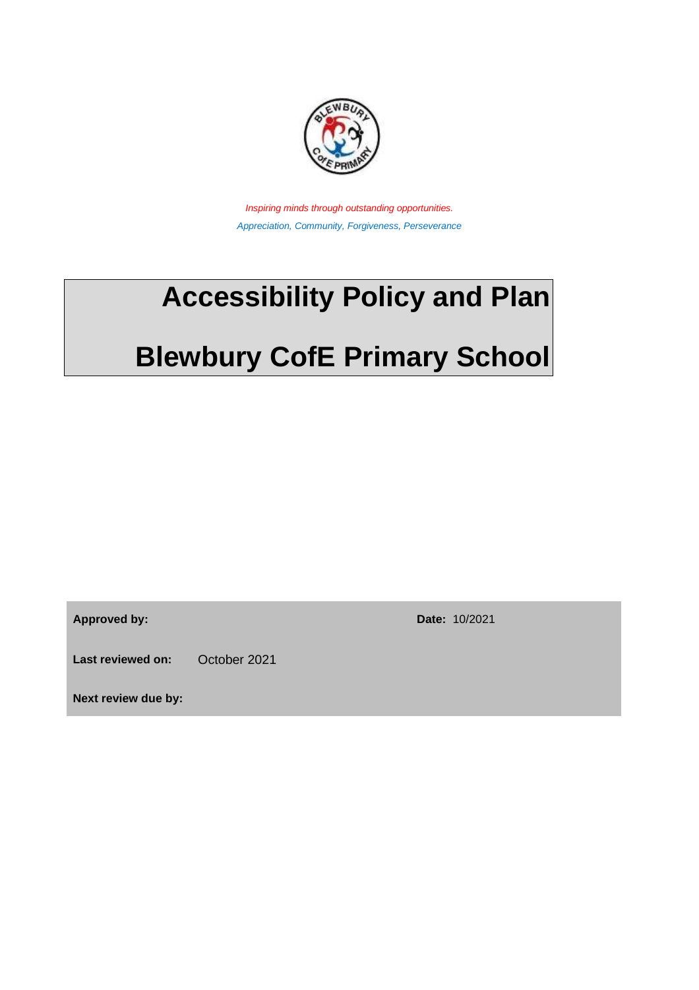

*Inspiring minds through outstanding opportunities. Appreciation, Community, Forgiveness, Perseverance* 

## **Accessibility Policy and Plan**

# **Blewbury CofE Primary School**

**Approved by: Date:** 10/2021

Last reviewed on: October 2021

**Next review due by:**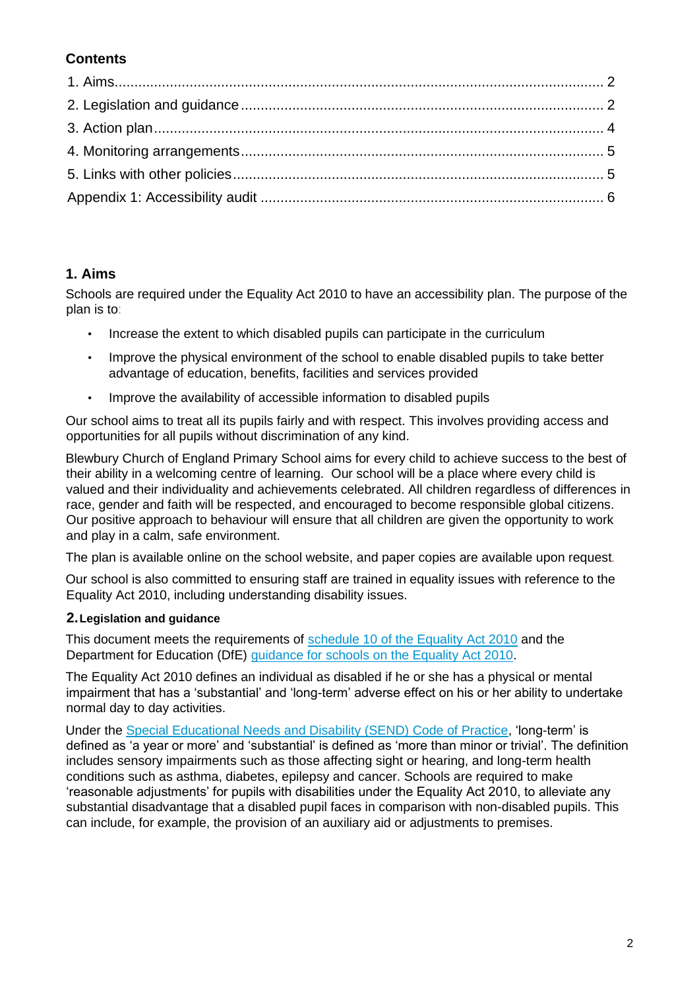#### **Contents**

#### <span id="page-1-0"></span>**1. Aims**

Schools are required under the Equality Act 2010 to have an accessibility plan. The purpose of the plan is to:

- Increase the extent to which disabled pupils can participate in the curriculum
- Improve the physical environment of the school to enable disabled pupils to take better advantage of education, benefits, facilities and services provided
- Improve the availability of accessible information to disabled pupils

Our school aims to treat all its pupils fairly and with respect. This involves providing access and opportunities for all pupils without discrimination of any kind.

Blewbury Church of England Primary School aims for every child to achieve success to the best of their ability in a welcoming centre of learning. Our school will be a place where every child is valued and their individuality and achievements celebrated. All children regardless of differences in race, gender and faith will be respected, and encouraged to become responsible global citizens. Our positive approach to behaviour will ensure that all children are given the opportunity to work and play in a calm, safe environment.

The plan is available online on the school website, and paper copies are available upon request*.* 

Our school is also committed to ensuring staff are trained in equality issues with reference to the Equality Act 2010, including understanding disability issues.

#### <span id="page-1-1"></span>**2.Legislation and guidance**

This document meets the requirements of [schedule 10 of the Equality Act 2010](http://www.legislation.gov.uk/ukpga/2010/15/schedule/10) and the Department for Education (DfE) quidance for schools on the Equality Act 2010.

The Equality Act 2010 defines an individual as disabled if he or she has a physical or mental impairment that has a 'substantial' and 'long-term' adverse effect on his or her ability to undertake normal day to day activities.

Under the [Special Educational Needs and Disability \(SEND\) Code of Practice,](https://www.gov.uk/government/publications/send-code-of-practice-0-to-25) 'long-term' is defined as 'a year or more' and 'substantial' is defined as 'more than minor or trivial'. The definition includes sensory impairments such as those affecting sight or hearing, and long-term health conditions such as asthma, diabetes, epilepsy and cancer. Schools are required to make 'reasonable adjustments' for pupils with disabilities under the Equality Act 2010, to alleviate any substantial disadvantage that a disabled pupil faces in comparison with non-disabled pupils. This can include, for example, the provision of an auxiliary aid or adjustments to premises.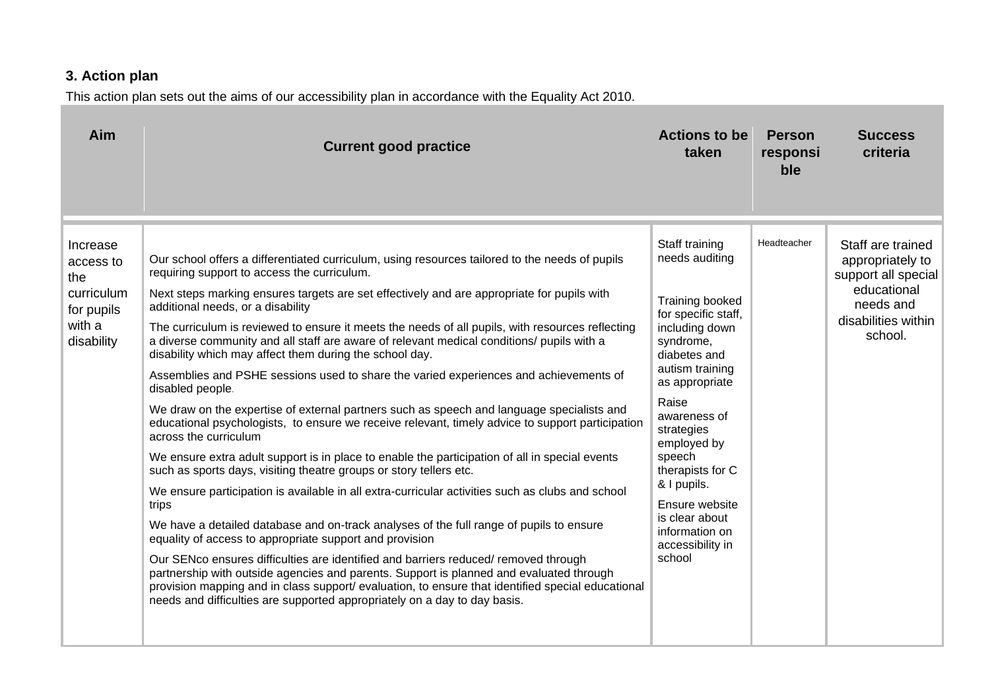## **3. Action plan**

This action plan sets out the aims of our accessibility plan in accordance with the Equality Act 2010.

<span id="page-3-0"></span>

| Aim                                                                              | <b>Current good practice</b>                                                                                                                                                                                                                                                                                                                                                                                                                                                                                                                                                                                                                                                                                                                                                                                                                                                                                                                                                                                                                                                                                                                                                                                                                                                                                                                                                                                                                                                                                                                                                                                                                                                                      | <b>Actions to be</b><br>taken                                                                                                                                                                                                                                                                                                                         | <b>Person</b><br>responsi<br>ble | <b>Success</b><br>criteria                                                                                                 |
|----------------------------------------------------------------------------------|---------------------------------------------------------------------------------------------------------------------------------------------------------------------------------------------------------------------------------------------------------------------------------------------------------------------------------------------------------------------------------------------------------------------------------------------------------------------------------------------------------------------------------------------------------------------------------------------------------------------------------------------------------------------------------------------------------------------------------------------------------------------------------------------------------------------------------------------------------------------------------------------------------------------------------------------------------------------------------------------------------------------------------------------------------------------------------------------------------------------------------------------------------------------------------------------------------------------------------------------------------------------------------------------------------------------------------------------------------------------------------------------------------------------------------------------------------------------------------------------------------------------------------------------------------------------------------------------------------------------------------------------------------------------------------------------------|-------------------------------------------------------------------------------------------------------------------------------------------------------------------------------------------------------------------------------------------------------------------------------------------------------------------------------------------------------|----------------------------------|----------------------------------------------------------------------------------------------------------------------------|
| Increase<br>access to<br>the<br>curriculum<br>for pupils<br>with a<br>disability | Our school offers a differentiated curriculum, using resources tailored to the needs of pupils<br>requiring support to access the curriculum.<br>Next steps marking ensures targets are set effectively and are appropriate for pupils with<br>additional needs, or a disability<br>The curriculum is reviewed to ensure it meets the needs of all pupils, with resources reflecting<br>a diverse community and all staff are aware of relevant medical conditions/ pupils with a<br>disability which may affect them during the school day.<br>Assemblies and PSHE sessions used to share the varied experiences and achievements of<br>disabled people.<br>We draw on the expertise of external partners such as speech and language specialists and<br>educational psychologists, to ensure we receive relevant, timely advice to support participation<br>across the curriculum<br>We ensure extra adult support is in place to enable the participation of all in special events<br>such as sports days, visiting theatre groups or story tellers etc.<br>We ensure participation is available in all extra-curricular activities such as clubs and school<br>trips<br>We have a detailed database and on-track analyses of the full range of pupils to ensure<br>equality of access to appropriate support and provision<br>Our SENco ensures difficulties are identified and barriers reduced/removed through<br>partnership with outside agencies and parents. Support is planned and evaluated through<br>provision mapping and in class support/ evaluation, to ensure that identified special educational<br>needs and difficulties are supported appropriately on a day to day basis. | Staff training<br>needs auditing<br>Training booked<br>for specific staff,<br>including down<br>syndrome,<br>diabetes and<br>autism training<br>as appropriate<br>Raise<br>awareness of<br>strategies<br>employed by<br>speech<br>therapists for C<br>& I pupils.<br>Ensure website<br>is clear about<br>information on<br>accessibility in<br>school | Headteacher                      | Staff are trained<br>appropriately to<br>support all special<br>educational<br>needs and<br>disabilities within<br>school. |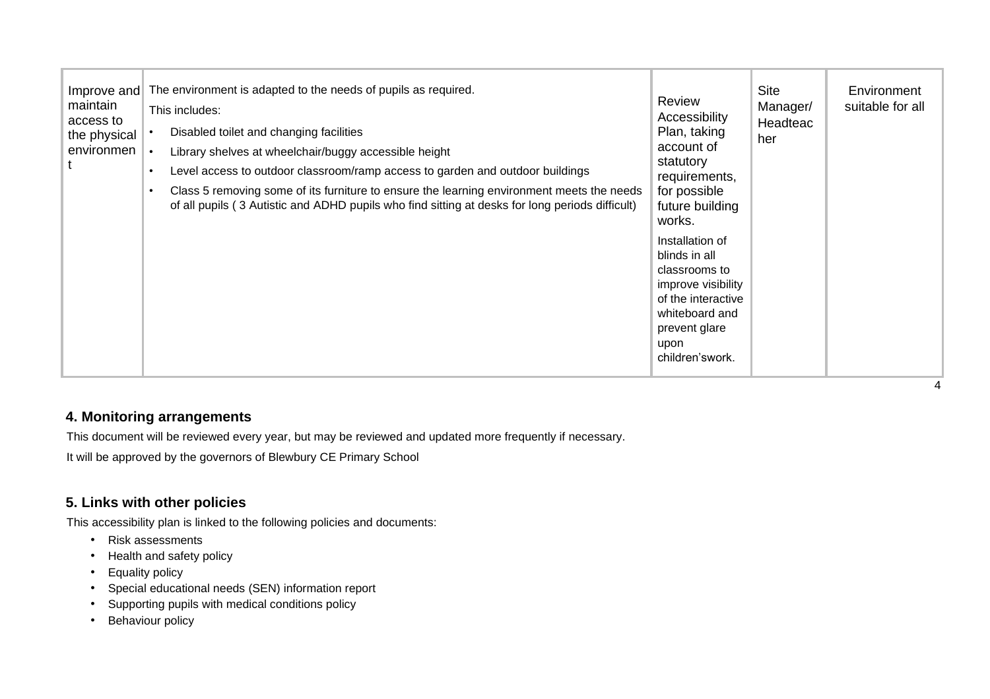| Improve and<br>maintain<br>access to<br>the physical<br>environmen | The environment is adapted to the needs of pupils as required.<br>This includes:<br>Disabled toilet and changing facilities<br>Library shelves at wheelchair/buggy accessible height<br>Level access to outdoor classroom/ramp access to garden and outdoor buildings<br>$\bullet$<br>Class 5 removing some of its furniture to ensure the learning environment meets the needs<br>$\bullet$<br>of all pupils (3 Autistic and ADHD pupils who find sitting at desks for long periods difficult) | Review<br>Accessibility<br>Plan, taking<br>account of<br>statutory<br>requirements,<br>for possible<br>future building<br>works.<br>Installation of<br>blinds in all<br>classrooms to<br>improve visibility<br>of the interactive<br>whiteboard and<br>prevent glare<br>upon<br>children'swork. | <b>Site</b><br>Manager/<br>Headteac<br>her | Environment<br>suitable for all |
|--------------------------------------------------------------------|-------------------------------------------------------------------------------------------------------------------------------------------------------------------------------------------------------------------------------------------------------------------------------------------------------------------------------------------------------------------------------------------------------------------------------------------------------------------------------------------------|-------------------------------------------------------------------------------------------------------------------------------------------------------------------------------------------------------------------------------------------------------------------------------------------------|--------------------------------------------|---------------------------------|
|--------------------------------------------------------------------|-------------------------------------------------------------------------------------------------------------------------------------------------------------------------------------------------------------------------------------------------------------------------------------------------------------------------------------------------------------------------------------------------------------------------------------------------------------------------------------------------|-------------------------------------------------------------------------------------------------------------------------------------------------------------------------------------------------------------------------------------------------------------------------------------------------|--------------------------------------------|---------------------------------|

#### **4. Monitoring arrangements**

This document will be reviewed every year, but may be reviewed and updated more frequently if necessary.

It will be approved by the governors of Blewbury CE Primary School

#### **5. Links with other policies**

This accessibility plan is linked to the following policies and documents:

- Risk assessments
- Health and safety policy
- Equality policy
- Special educational needs (SEN) information report
- Supporting pupils with medical conditions policy
- <span id="page-4-1"></span><span id="page-4-0"></span>• Behaviour policy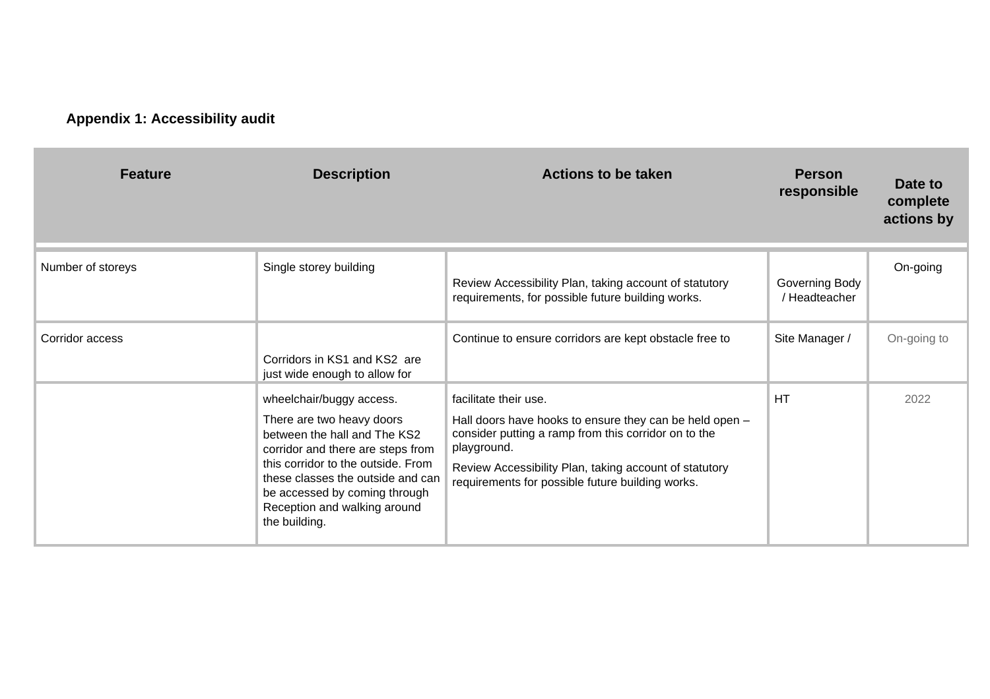## **Appendix 1: Accessibility audit**

<span id="page-5-0"></span>

| <b>Feature</b>    | <b>Description</b>                                                                                                                                                                                                                                                                      | <b>Actions to be taken</b>                                                                                                                                                                                                                                            | <b>Person</b><br>responsible    | Date to<br>complete<br>actions by |
|-------------------|-----------------------------------------------------------------------------------------------------------------------------------------------------------------------------------------------------------------------------------------------------------------------------------------|-----------------------------------------------------------------------------------------------------------------------------------------------------------------------------------------------------------------------------------------------------------------------|---------------------------------|-----------------------------------|
| Number of storeys | Single storey building                                                                                                                                                                                                                                                                  | Review Accessibility Plan, taking account of statutory<br>requirements, for possible future building works.                                                                                                                                                           | Governing Body<br>/ Headteacher | On-going                          |
| Corridor access   | Corridors in KS1 and KS2 are<br>just wide enough to allow for                                                                                                                                                                                                                           | Continue to ensure corridors are kept obstacle free to                                                                                                                                                                                                                | Site Manager /                  | On-going to                       |
|                   | wheelchair/buggy access.<br>There are two heavy doors<br>between the hall and The KS2<br>corridor and there are steps from<br>this corridor to the outside. From<br>these classes the outside and can<br>be accessed by coming through<br>Reception and walking around<br>the building. | facilitate their use.<br>Hall doors have hooks to ensure they can be held open -<br>consider putting a ramp from this corridor on to the<br>playground.<br>Review Accessibility Plan, taking account of statutory<br>requirements for possible future building works. | <b>HT</b>                       | 2022                              |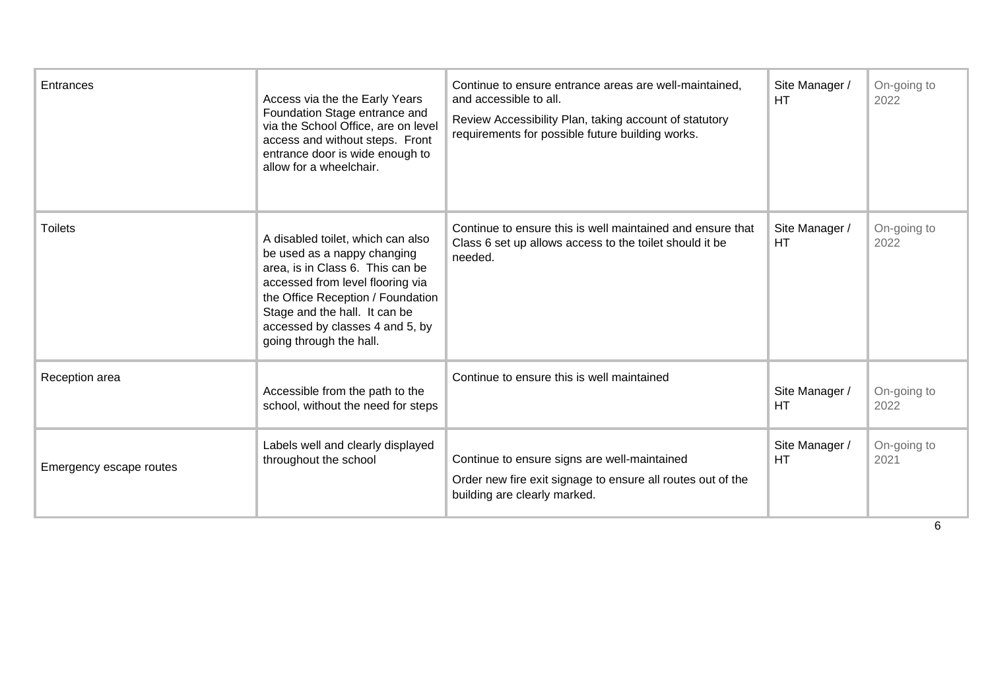| Entrances               | Access via the the Early Years<br>Foundation Stage entrance and<br>via the School Office, are on level<br>access and without steps. Front<br>entrance door is wide enough to<br>allow for a wheelchair.                                                                      | Continue to ensure entrance areas are well-maintained,<br>and accessible to all.<br>Review Accessibility Plan, taking account of statutory<br>requirements for possible future building works. | Site Manager /<br>HТ        | On-going to<br>2022 |
|-------------------------|------------------------------------------------------------------------------------------------------------------------------------------------------------------------------------------------------------------------------------------------------------------------------|------------------------------------------------------------------------------------------------------------------------------------------------------------------------------------------------|-----------------------------|---------------------|
| <b>Toilets</b>          | A disabled toilet, which can also<br>be used as a nappy changing<br>area, is in Class 6. This can be<br>accessed from level flooring via<br>the Office Reception / Foundation<br>Stage and the hall. It can be<br>accessed by classes 4 and 5, by<br>going through the hall. | Continue to ensure this is well maintained and ensure that<br>Class 6 set up allows access to the toilet should it be<br>needed.                                                               | Site Manager /<br>HT        | On-going to<br>2022 |
| Reception area          | Accessible from the path to the<br>school, without the need for steps                                                                                                                                                                                                        | Continue to ensure this is well maintained                                                                                                                                                     | Site Manager /<br><b>HT</b> | On-going to<br>2022 |
| Emergency escape routes | Labels well and clearly displayed<br>throughout the school                                                                                                                                                                                                                   | Continue to ensure signs are well-maintained<br>Order new fire exit signage to ensure all routes out of the<br>building are clearly marked.                                                    | Site Manager /<br><b>HT</b> | On-going to<br>2021 |